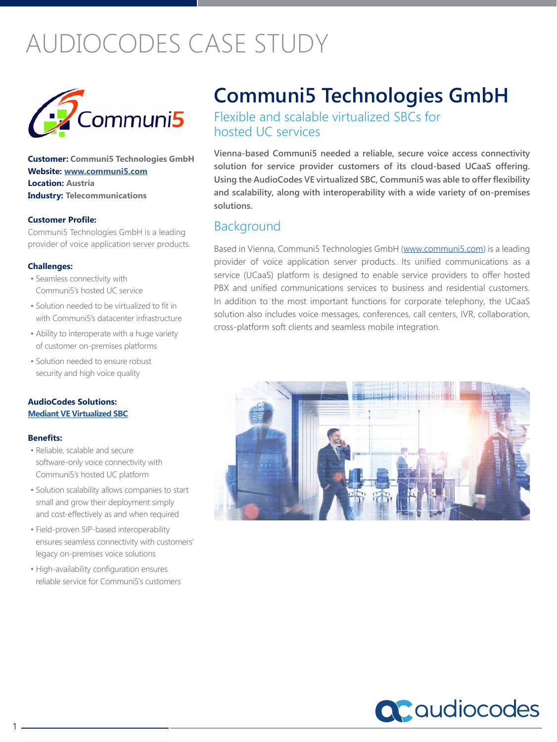# AUDIOCODES CASE STUDY



**Customer: Communi5 Technologies GmbH Website: www.communi5.com Location: Austria Industry: Telecommunications** 

#### **Customer Profile:**

Communi5 Technologies GmbH is a leading provider of voice application server products.

#### **Challenges:**

- Seamless connectivity with Communi5's hosted UC service
- Solution needed to be virtualized to fit in with Communi5's datacenter infrastructure
- Ability to interoperate with a huge variety of customer on-premises platforms
- Solution needed to ensure robust security and high voice quality

#### **AudioCodes Solutions: [Mediant VE Virtualized SBC](https://www.audiocodes.com/solutions-products/products/session-border-controllers-sbcs/mediant-vese)**

#### **Benefits:**

1

- Reliable, scalable and secure software-only voice connectivity with Communi5's hosted UC platform
- Solution scalability allows companies to start small and grow their deployment simply and cost-effectively as and when required
- Field-proven SIP-based interoperability ensures seamless connectivity with customers' legacy on-premises voice solutions
- High-availability configuration ensures reliable service for Communi5's customers

## **Communi5 Technologies GmbH**

Flexible and scalable virtualized SBCs for hosted UC services

**Vienna-based Communi5 needed a reliable, secure voice access connectivity solution for service provider customers of its cloud-based UCaaS offering. Using the AudioCodes VE virtualized SBC, Communi5 was able to offer flexibility and scalability, along with interoperability with a wide variety of on-premises solutions.**

## **Background**

Based in Vienna, Communi5 Technologies GmbH (www.communi5.com) is a leading provider of voice application server products. Its unified communications as a service (UCaaS) platform is designed to enable service providers to offer hosted PBX and unified communications services to business and residential customers. In addition to the most important functions for corporate telephony, the UCaaS solution also includes voice messages, conferences, call centers, IVR, collaboration, cross-platform soft clients and seamless mobile integration.



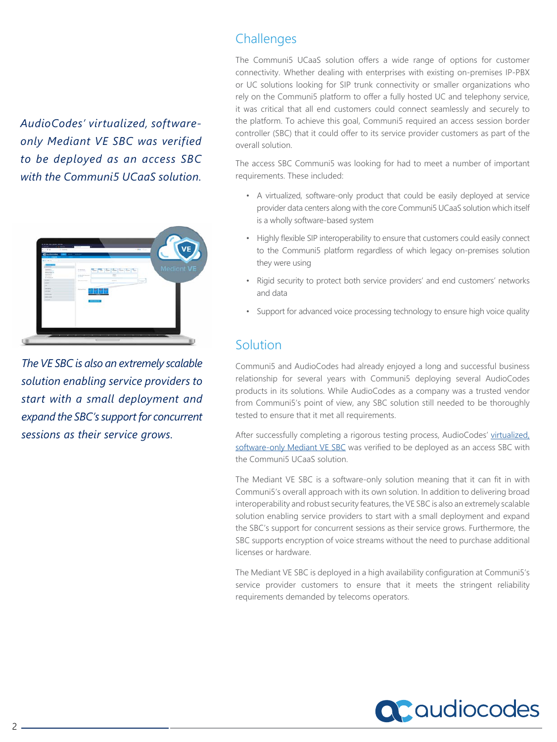*AudioCodes' virtualized, softwareonly Mediant VE SBC was verified to be deployed as an access SBC with the Communi5 UCaaS solution.*



*The VE SBC is also an extremely scalable solution enabling service providers to start with a small deployment and expand the SBC's support for concurrent sessions as their service grows.*

## **Challenges**

The Communi5 UCaaS solution offers a wide range of options for customer connectivity. Whether dealing with enterprises with existing on-premises IP-PBX or UC solutions looking for SIP trunk connectivity or smaller organizations who rely on the Communi5 platform to offer a fully hosted UC and telephony service, it was critical that all end customers could connect seamlessly and securely to the platform. To achieve this goal, Communi5 required an access session border controller (SBC) that it could offer to its service provider customers as part of the overall solution.

The access SBC Communi5 was looking for had to meet a number of important requirements. These included:

- A virtualized, software-only product that could be easily deployed at service provider data centers along with the core Communi5 UCaaS solution which itself is a wholly software-based system
- Highly flexible SIP interoperability to ensure that customers could easily connect to the Communi5 platform regardless of which legacy on-premises solution they were using
- Rigid security to protect both service providers' and end customers' networks and data
- Support for advanced voice processing technology to ensure high voice quality

## Solution

Communi5 and AudioCodes had already enjoyed a long and successful business relationship for several years with Communi5 deploying several AudioCodes products in its solutions. While AudioCodes as a company was a trusted vendor from Communi5's point of view, any SBC solution still needed to be thoroughly tested to ensure that it met all requirements.

After successfully completing a rigorous testing process, AudioCodes' virtualized, [software-only Mediant VE SBC](https://www.audiocodes.com/solutions-products/products/session-border-controllers-sbcs/mediant-vese) was verified to be deployed as an access SBC with the Communi5 UCaaS solution.

The Mediant VE SBC is a software-only solution meaning that it can fit in with Communi5's overall approach with its own solution. In addition to delivering broad interoperability and robust security features, the VE SBC is also an extremely scalable solution enabling service providers to start with a small deployment and expand the SBC's support for concurrent sessions as their service grows. Furthermore, the SBC supports encryption of voice streams without the need to purchase additional licenses or hardware.

The Mediant VE SBC is deployed in a high availability configuration at Communi5's service provider customers to ensure that it meets the stringent reliability requirements demanded by telecoms operators.